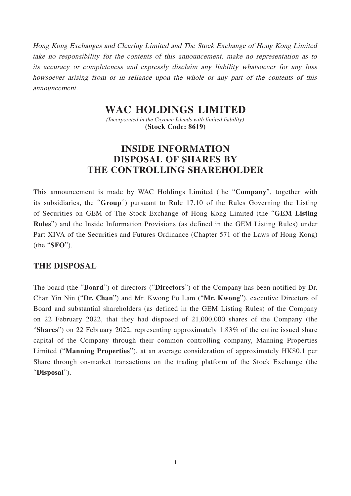Hong Kong Exchanges and Clearing Limited and The Stock Exchange of Hong Kong Limited take no responsibility for the contents of this announcement, make no representation as to its accuracy or completeness and expressly disclaim any liability whatsoever for any loss howsoever arising from or in reliance upon the whole or any part of the contents of this announcement.

## **WAC HOLDINGS LIMITED**

(Incorporated in the Cayman Islands with limited liability) **(Stock Code: 8619)**

## **INSIDE INFORMATION DISPOSAL OF SHARES BY THE CONTROLLING SHAREHOLDER**

This announcement is made by WAC Holdings Limited (the "**Company**", together with its subsidiaries, the "**Group**") pursuant to Rule 17.10 of the Rules Governing the Listing of Securities on GEM of The Stock Exchange of Hong Kong Limited (the "**GEM Listing Rules**") and the Inside Information Provisions (as defined in the GEM Listing Rules) under Part XIVA of the Securities and Futures Ordinance (Chapter 571 of the Laws of Hong Kong) (the "**SFO**").

## **THE DISPOSAL**

The board (the "**Board**") of directors ("**Directors**") of the Company has been notified by Dr. Chan Yin Nin ("**Dr. Chan**") and Mr. Kwong Po Lam ("**Mr. Kwong**"), executive Directors of Board and substantial shareholders (as defined in the GEM Listing Rules) of the Company on 22 February 2022, that they had disposed of 21,000,000 shares of the Company (the "**Shares**") on 22 February 2022, representing approximately 1.83% of the entire issued share capital of the Company through their common controlling company, Manning Properties Limited ("**Manning Properties**"), at an average consideration of approximately HK\$0.1 per Share through on-market transactions on the trading platform of the Stock Exchange (the "**Disposal**").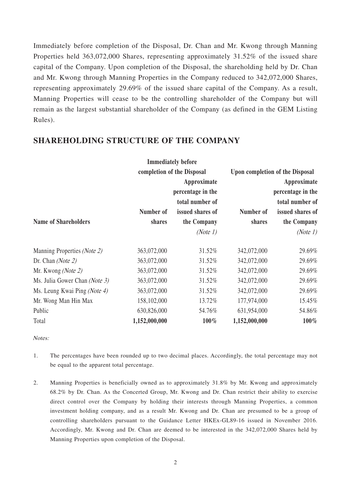Immediately before completion of the Disposal, Dr. Chan and Mr. Kwong through Manning Properties held 363,072,000 Shares, representing approximately 31.52% of the issued share capital of the Company. Upon completion of the Disposal, the shareholding held by Dr. Chan and Mr. Kwong through Manning Properties in the Company reduced to 342,072,000 Shares, representing approximately 29.69% of the issued share capital of the Company. As a result, Manning Properties will cease to be the controlling shareholder of the Company but will remain as the largest substantial shareholder of the Company (as defined in the GEM Listing Rules).

## **SHAREHOLDING STRUCTURE OF THE COMPANY**

|                               |                            | <b>Immediately before</b> |                                        |                   |
|-------------------------------|----------------------------|---------------------------|----------------------------------------|-------------------|
|                               | completion of the Disposal |                           | <b>Upon completion of the Disposal</b> |                   |
|                               |                            | Approximate               |                                        | Approximate       |
|                               |                            | percentage in the         |                                        | percentage in the |
|                               |                            | total number of           |                                        | total number of   |
|                               | Number of                  | issued shares of          | Number of                              | issued shares of  |
| <b>Name of Shareholders</b>   | shares                     | the Company               | shares                                 | the Company       |
|                               |                            | (Note 1)                  |                                        | (Note 1)          |
| Manning Properties (Note 2)   | 363,072,000                | 31.52%                    | 342,072,000                            | 29.69%            |
| Dr. Chan ( <i>Note 2</i> )    | 363,072,000                | 31.52%                    | 342,072,000                            | 29.69%            |
| Mr. Kwong (Note 2)            | 363,072,000                | 31.52%                    | 342,072,000                            | 29.69%            |
| Ms. Julia Gower Chan (Note 3) | 363,072,000                | 31.52%                    | 342,072,000                            | 29.69%            |
| Ms. Leung Kwai Ping (Note 4)  | 363,072,000                | 31.52%                    | 342,072,000                            | 29.69%            |
| Mr. Wong Man Hin Max          | 158,102,000                | 13.72%                    | 177,974,000                            | 15.45%            |
| Public                        | 630,826,000                | 54.76%                    | 631,954,000                            | 54.86%            |
| Total                         | 1,152,000,000              | 100%                      | 1,152,000,000                          | $100\%$           |

Notes:

- 1. The percentages have been rounded up to two decimal places. Accordingly, the total percentage may not be equal to the apparent total percentage.
- 2. Manning Properties is beneficially owned as to approximately 31.8% by Mr. Kwong and approximately 68.2% by Dr. Chan. As the Concerted Group, Mr. Kwong and Dr. Chan restrict their ability to exercise direct control over the Company by holding their interests through Manning Properties, a common investment holding company, and as a result Mr. Kwong and Dr. Chan are presumed to be a group of controlling shareholders pursuant to the Guidance Letter HKEx-GL89-16 issued in November 2016. Accordingly, Mr. Kwong and Dr. Chan are deemed to be interested in the 342,072,000 Shares held by Manning Properties upon completion of the Disposal.